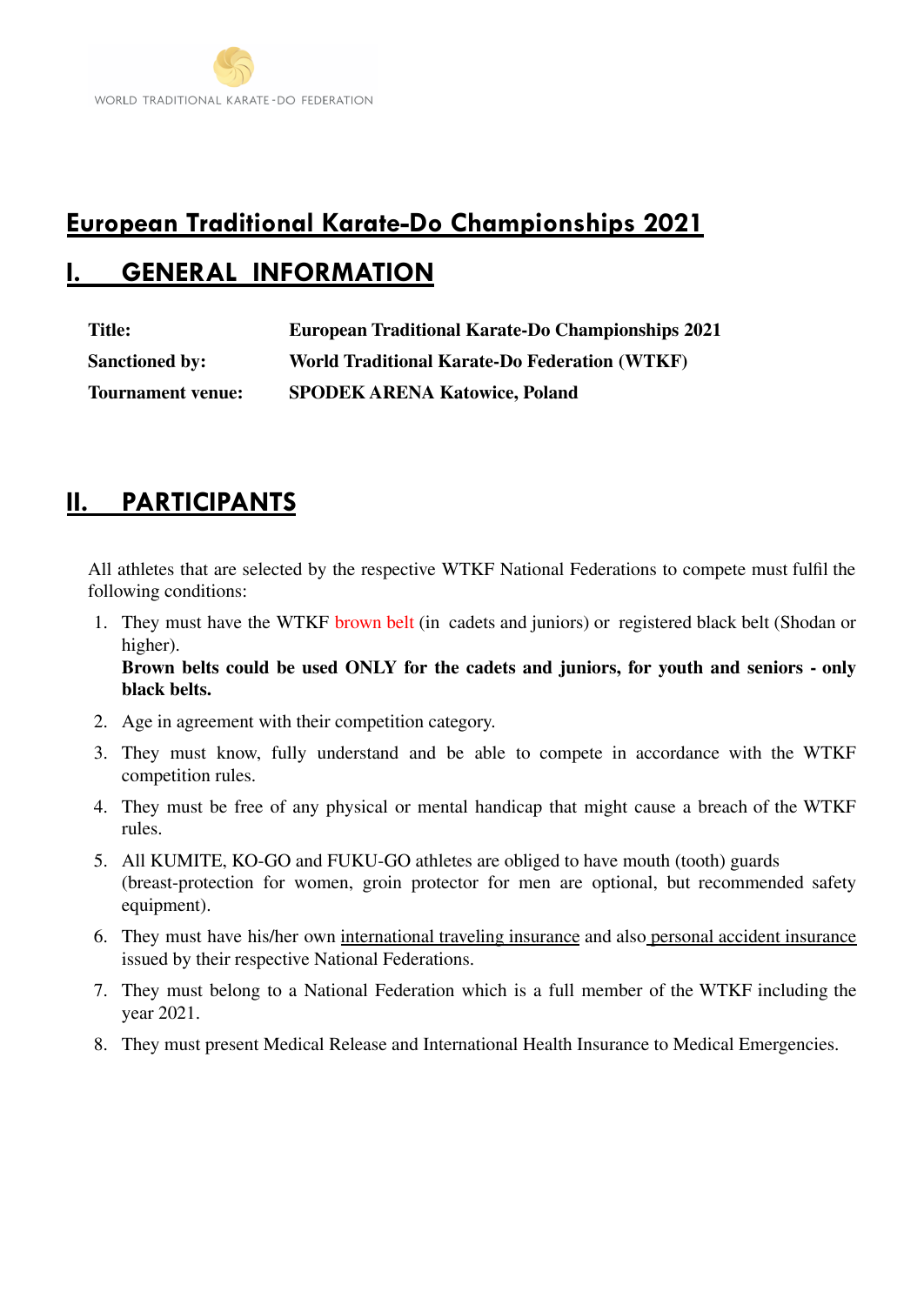# **European Traditional Karate-Do Championships 2021**

# **I. GENERAL INFORMATION**

| Title:                   | <b>European Traditional Karate-Do Championships 2021</b> |
|--------------------------|----------------------------------------------------------|
| <b>Sanctioned by:</b>    | World Traditional Karate-Do Federation (WTKF)            |
| <b>Tournament venue:</b> | <b>SPODEK ARENA Katowice, Poland</b>                     |

## **II. PARTICIPANTS**

**black belts.**

All athletes that are selected by the respective WTKF National Federations to compete must fulfil the following conditions:

- 1. They must have the WTKF brown belt (in cadets and juniors) or registered black belt (Shodan or higher). **Brown belts could be used ONLY for the cadets and juniors, for youth and seniors - only**
- 2. Age in agreement with their competition category.
- 3. They must know, fully understand and be able to compete in accordance with the WTKF competition rules.
- 4. They must be free of any physical or mental handicap that might cause a breach of the WTKF rules.
- 5. All KUMITE, KO-GO and FUKU-GO athletes are obliged to have mouth (tooth) guards (breast-protection for women, groin protector for men are optional, but recommended safety equipment).
- 6. They must have his/her own international traveling insurance and also personal accident insurance issued by their respective National Federations.
- 7. They must belong to a National Federation which is a full member of the WTKF including the year 2021.
- 8. They must present Medical Release and International Health Insurance to Medical Emergencies.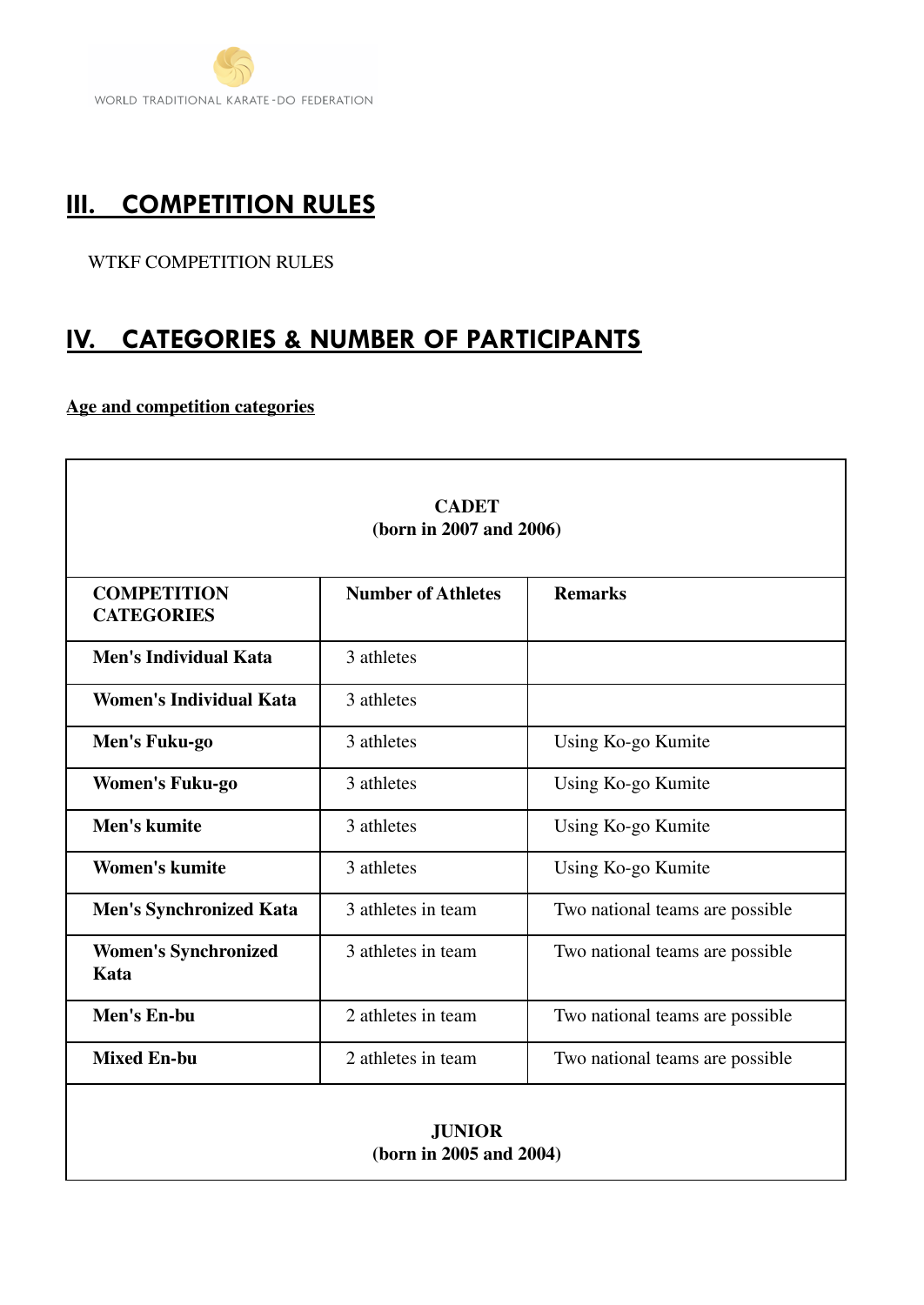# **III. COMPETITION RULES**

### WTKF COMPETITION RULES

# **IV. CATEGORIES & NUMBER OF PARTICIPANTS**

**Age and competition categories**

r

| <b>CADET</b><br>(born in 2007 and 2006) |                           |                                 |
|-----------------------------------------|---------------------------|---------------------------------|
| <b>COMPETITION</b><br><b>CATEGORIES</b> | <b>Number of Athletes</b> | <b>Remarks</b>                  |
| <b>Men's Individual Kata</b>            | 3 athletes                |                                 |
| <b>Women's Individual Kata</b>          | 3 athletes                |                                 |
| Men's Fuku-go                           | 3 athletes                | Using Ko-go Kumite              |
| <b>Women's Fuku-go</b>                  | 3 athletes                | Using Ko-go Kumite              |
| Men's kumite                            | 3 athletes                | Using Ko-go Kumite              |
| <b>Women's kumite</b>                   | 3 athletes                | Using Ko-go Kumite              |
| <b>Men's Synchronized Kata</b>          | 3 athletes in team        | Two national teams are possible |
| <b>Women's Synchronized</b><br>Kata     | 3 athletes in team        | Two national teams are possible |
| Men's En-bu                             | 2 athletes in team        | Two national teams are possible |
| <b>Mixed En-bu</b>                      | 2 athletes in team        | Two national teams are possible |

**(born in 2005 and 2004)**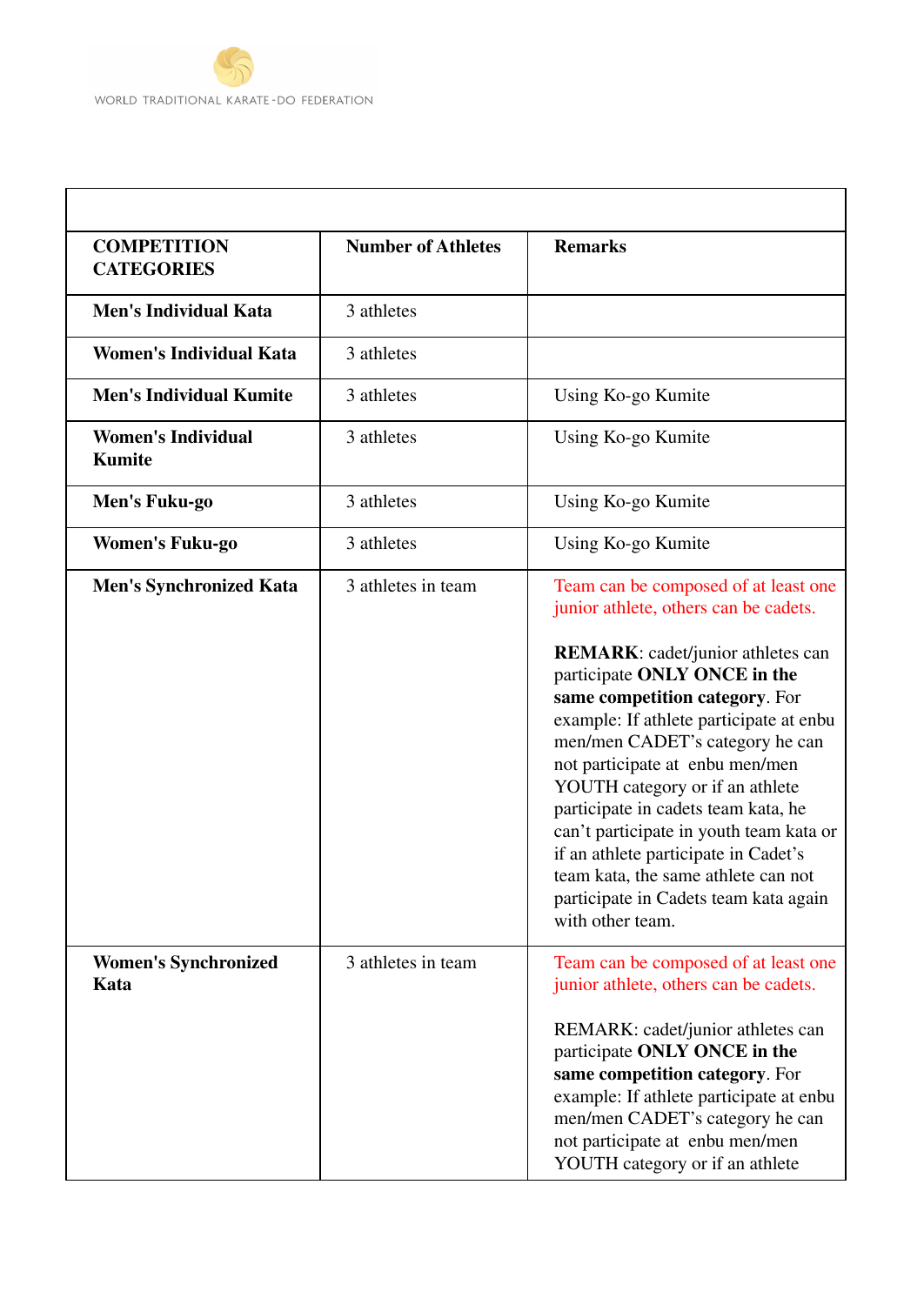| <b>COMPETITION</b><br><b>CATEGORIES</b>    | <b>Number of Athletes</b> | <b>Remarks</b>                                                                                                                                                                                                                                                                                                                                                                                                                                                                                                                                                                |
|--------------------------------------------|---------------------------|-------------------------------------------------------------------------------------------------------------------------------------------------------------------------------------------------------------------------------------------------------------------------------------------------------------------------------------------------------------------------------------------------------------------------------------------------------------------------------------------------------------------------------------------------------------------------------|
| <b>Men's Individual Kata</b>               | 3 athletes                |                                                                                                                                                                                                                                                                                                                                                                                                                                                                                                                                                                               |
| <b>Women's Individual Kata</b>             | 3 athletes                |                                                                                                                                                                                                                                                                                                                                                                                                                                                                                                                                                                               |
| <b>Men's Individual Kumite</b>             | 3 athletes                | Using Ko-go Kumite                                                                                                                                                                                                                                                                                                                                                                                                                                                                                                                                                            |
| <b>Women's Individual</b><br><b>Kumite</b> | 3 athletes                | Using Ko-go Kumite                                                                                                                                                                                                                                                                                                                                                                                                                                                                                                                                                            |
| Men's Fuku-go                              | 3 athletes                | Using Ko-go Kumite                                                                                                                                                                                                                                                                                                                                                                                                                                                                                                                                                            |
| <b>Women's Fuku-go</b>                     | 3 athletes                | Using Ko-go Kumite                                                                                                                                                                                                                                                                                                                                                                                                                                                                                                                                                            |
| <b>Men's Synchronized Kata</b>             | 3 athletes in team        | Team can be composed of at least one<br>junior athlete, others can be cadets.<br><b>REMARK:</b> cadet/junior athletes can<br>participate ONLY ONCE in the<br>same competition category. For<br>example: If athlete participate at enbu<br>men/men CADET's category he can<br>not participate at enbu men/men<br>YOUTH category or if an athlete<br>participate in cadets team kata, he<br>can't participate in youth team kata or<br>if an athlete participate in Cadet's<br>team kata, the same athlete can not<br>participate in Cadets team kata again<br>with other team. |
| <b>Women's Synchronized</b><br>Kata        | 3 athletes in team        | Team can be composed of at least one<br>junior athlete, others can be cadets.<br>REMARK: cadet/junior athletes can<br>participate ONLY ONCE in the<br>same competition category. For<br>example: If athlete participate at enbu<br>men/men CADET's category he can<br>not participate at enbu men/men<br>YOUTH category or if an athlete                                                                                                                                                                                                                                      |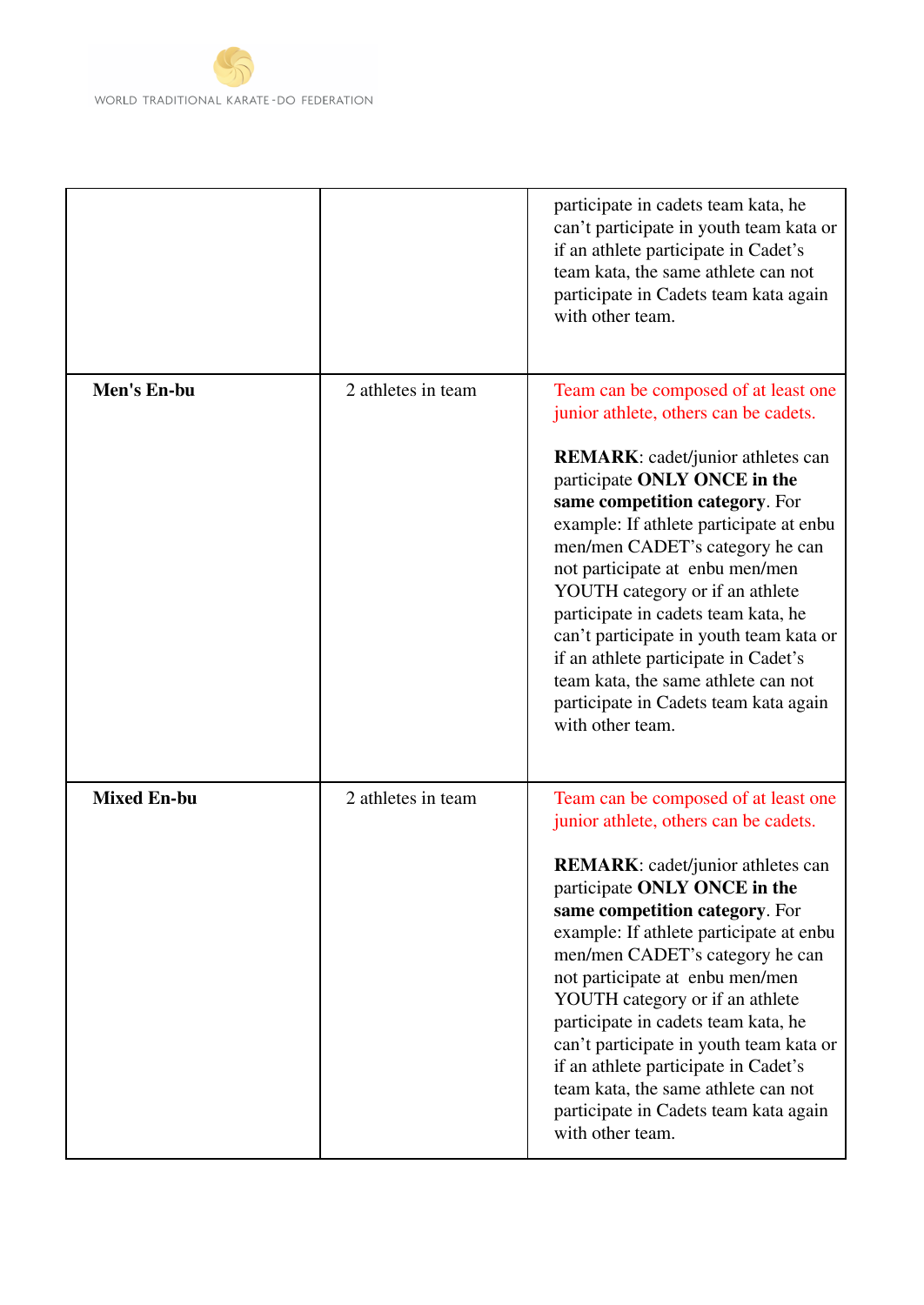

|                    |                    | participate in cadets team kata, he<br>can't participate in youth team kata or<br>if an athlete participate in Cadet's<br>team kata, the same athlete can not<br>participate in Cadets team kata again<br>with other team.                                                                                                                                                                                                                                                                                                                                                    |
|--------------------|--------------------|-------------------------------------------------------------------------------------------------------------------------------------------------------------------------------------------------------------------------------------------------------------------------------------------------------------------------------------------------------------------------------------------------------------------------------------------------------------------------------------------------------------------------------------------------------------------------------|
| Men's En-bu        | 2 athletes in team | Team can be composed of at least one<br>junior athlete, others can be cadets.<br><b>REMARK:</b> cadet/junior athletes can<br>participate ONLY ONCE in the<br>same competition category. For<br>example: If athlete participate at enbu<br>men/men CADET's category he can<br>not participate at enbu men/men<br>YOUTH category or if an athlete<br>participate in cadets team kata, he<br>can't participate in youth team kata or<br>if an athlete participate in Cadet's<br>team kata, the same athlete can not<br>participate in Cadets team kata again<br>with other team. |
| <b>Mixed En-bu</b> | 2 athletes in team | Team can be composed of at least one<br>junior athlete, others can be cadets.<br><b>REMARK:</b> cadet/junior athletes can<br>participate ONLY ONCE in the<br>same competition category. For<br>example: If athlete participate at enbu<br>men/men CADET's category he can<br>not participate at enbu men/men<br>YOUTH category or if an athlete<br>participate in cadets team kata, he<br>can't participate in youth team kata or<br>if an athlete participate in Cadet's<br>team kata, the same athlete can not<br>participate in Cadets team kata again<br>with other team. |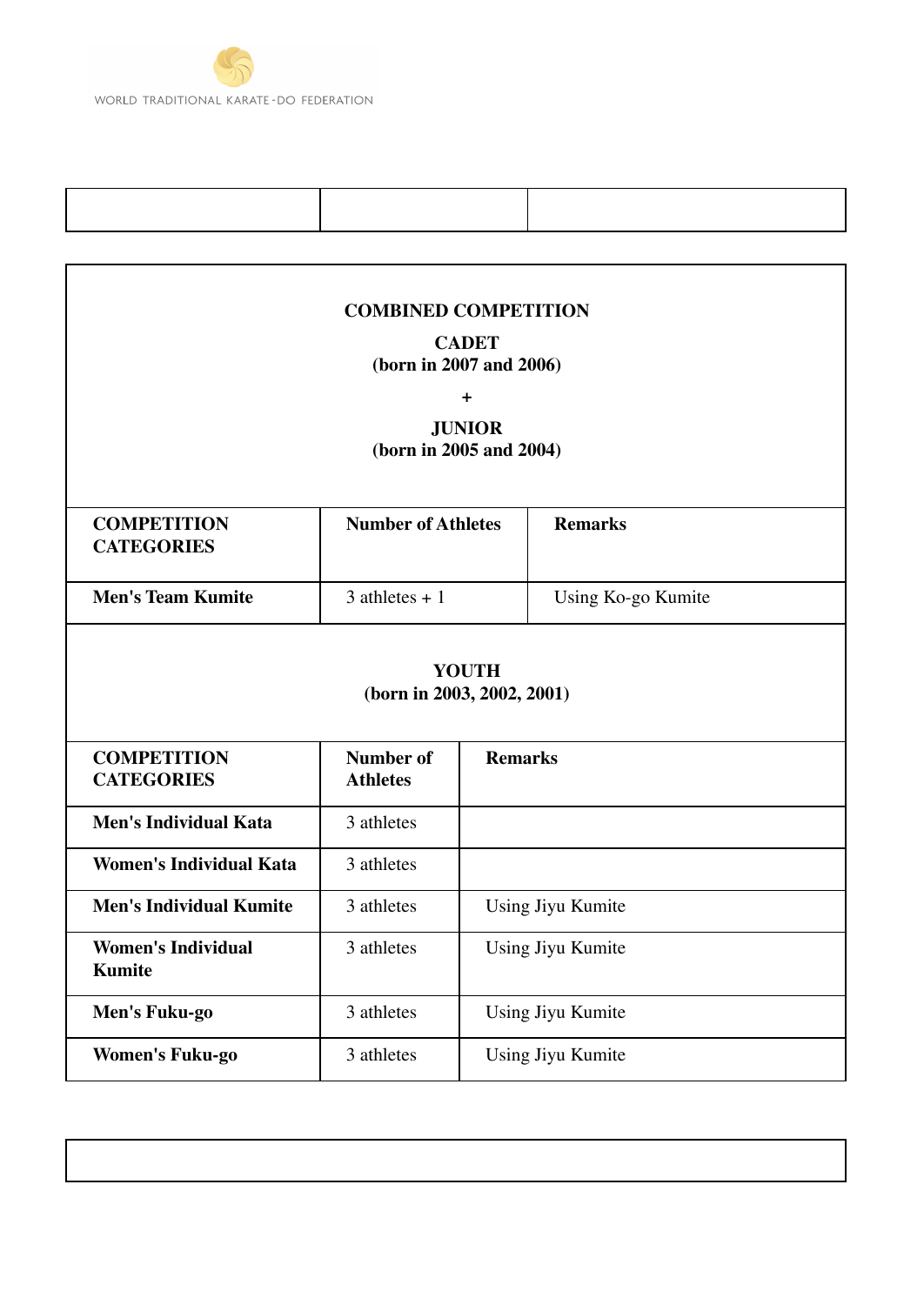

# **COMBINED COMPETITION**

#### **CADET (born in 2007 and 2006)**

**+**

### **JUNIOR (born in 2005 and 2004)**

| <b>COMPETITION</b><br><b>CATEGORIES</b> | <b>Number of Athletes</b> | <b>Remarks</b>     |
|-----------------------------------------|---------------------------|--------------------|
| <b>Men's Team Kumite</b>                | $3$ athletes + 1          | Using Ko-go Kumite |

#### **YOUTH (born in 2003, 2002, 2001)**

| <b>COMPETITION</b><br><b>CATEGORIES</b> | Number of<br><b>Athletes</b> | <b>Remarks</b>    |
|-----------------------------------------|------------------------------|-------------------|
| <b>Men's Individual Kata</b>            | 3 athletes                   |                   |
| Women's Individual Kata                 | 3 athletes                   |                   |
| <b>Men's Individual Kumite</b>          | 3 athletes                   | Using Jiyu Kumite |
| <b>Women's Individual</b><br>Kumite     | 3 athletes                   | Using Jiyu Kumite |
| Men's Fuku-go                           | 3 athletes                   | Using Jiyu Kumite |
| <b>Women's Fuku-go</b>                  | 3 athletes                   | Using Jiyu Kumite |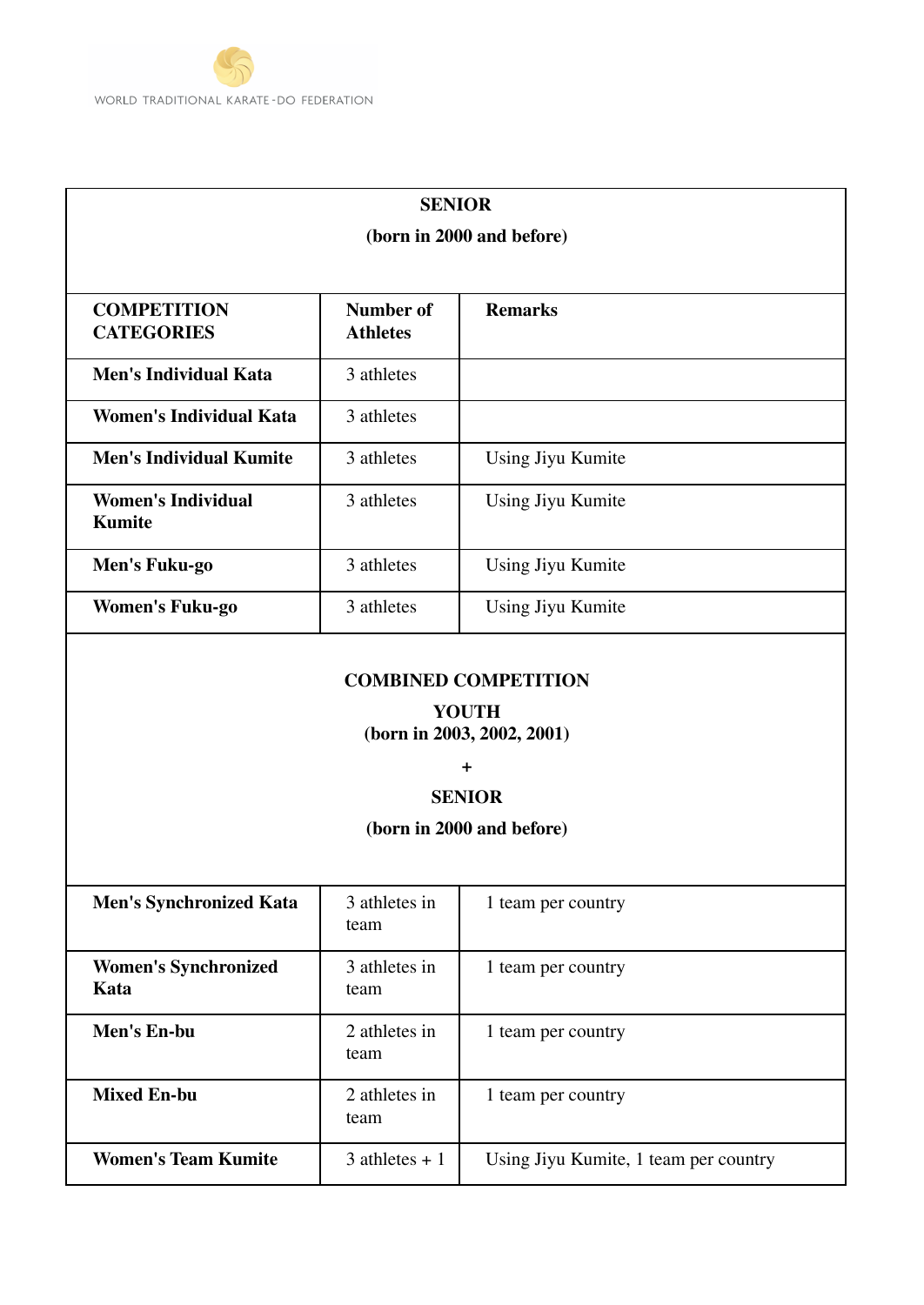### **SENIOR**

### **(born in 2000 and before)**

| <b>COMPETITION</b><br><b>CATEGORIES</b> | Number of<br><b>Athletes</b> | <b>Remarks</b>    |
|-----------------------------------------|------------------------------|-------------------|
| <b>Men's Individual Kata</b>            | 3 athletes                   |                   |
| <b>Women's Individual Kata</b>          | 3 athletes                   |                   |
| <b>Men's Individual Kumite</b>          | 3 athletes                   | Using Jiyu Kumite |
| <b>Women's Individual</b><br>Kumite     | 3 athletes                   | Using Jiyu Kumite |
| Men's Fuku-go                           | 3 athletes                   | Using Jiyu Kumite |
| <b>Women's Fuku-go</b>                  | 3 athletes                   | Using Jiyu Kumite |

#### **COMBINED COMPETITION**

## **YOUTH**

### **(born in 2003, 2002, 2001)**

**+**

#### **SENIOR**

### **(born in 2000 and before)**

| <b>Men's Synchronized Kata</b>      | 3 athletes in<br>team | 1 team per country                    |
|-------------------------------------|-----------------------|---------------------------------------|
| <b>Women's Synchronized</b><br>Kata | 3 athletes in<br>team | 1 team per country                    |
| Men's En-bu                         | 2 athletes in<br>team | 1 team per country                    |
| <b>Mixed En-bu</b>                  | 2 athletes in<br>team | 1 team per country                    |
| <b>Women's Team Kumite</b>          | $3$ athletes + 1      | Using Jiyu Kumite, 1 team per country |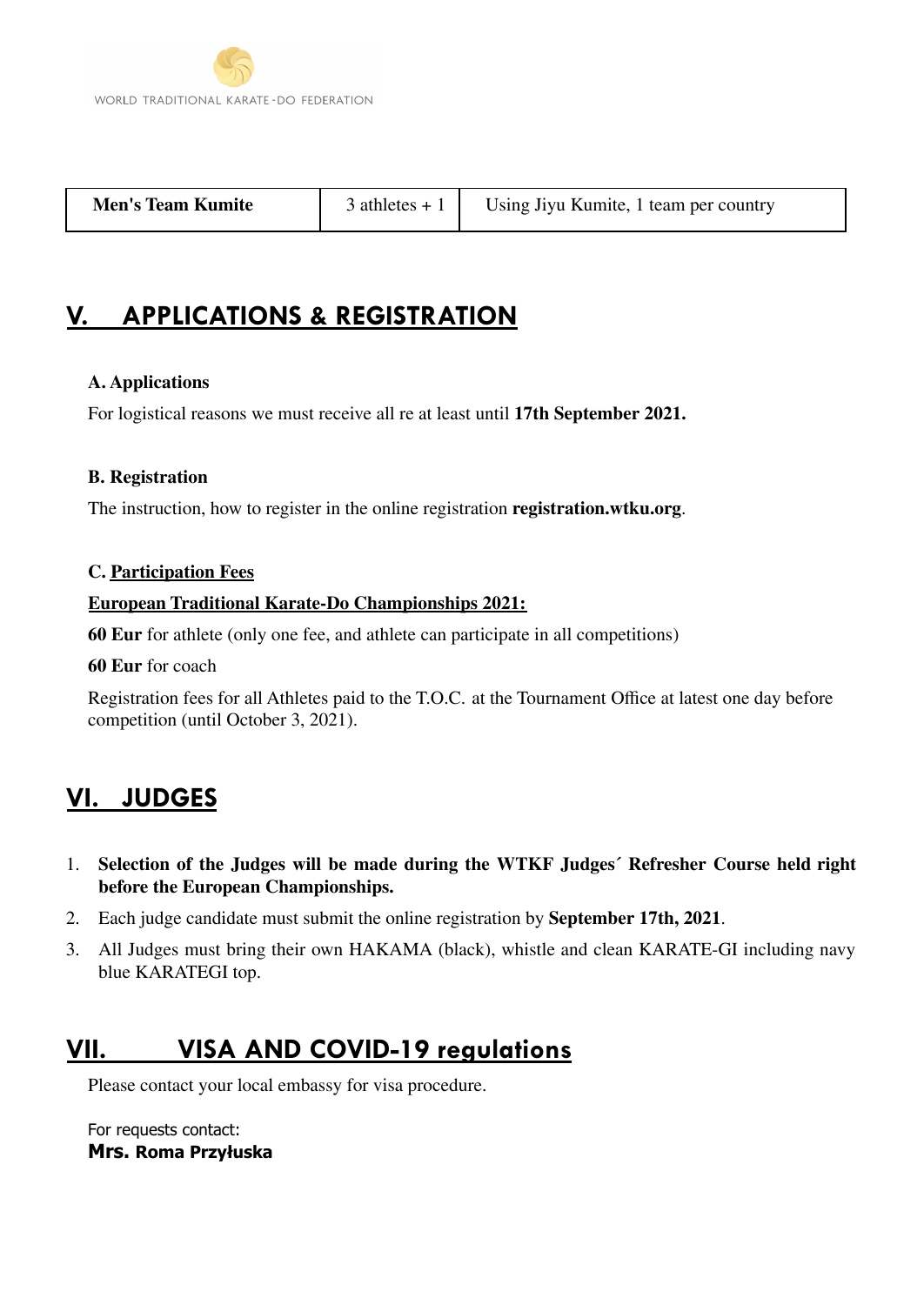| <b>Men's Team Kumite</b> | $3$ athletes + 1 | Using Jiyu Kumite, 1 team per country |
|--------------------------|------------------|---------------------------------------|
|                          |                  |                                       |

# **V. APPLICATIONS & REGISTRATION**

#### **A. Applications**

For logistical reasons we must receive all re at least until **17th September 2021.**

#### **B. Registration**

The instruction, how to register in the online registration **registration.wtku.org**.

#### **C. Participation Fees**

#### **European Traditional Karate-Do Championships 2021:**

**60 Eur** for athlete (only one fee, and athlete can participate in all competitions)

**60 Eur** for coach

Registration fees for all Athletes paid to the T.O.C. at the Tournament Office at latest one day before competition (until October 3, 2021).

## **VI. JUDGES**

- 1. **Selection of the Judges will be made during the WTKF Judges´ Refresher Course held right before the European Championships.**
- 2. Each judge candidate must submit the online registration by **September 17th, 2021**.
- 3. All Judges must bring their own HAKAMA (black), whistle and clean KARATE-GI including navy blue KARATEGI top.

### **VII. VISA AND COVID-19 regulations**

Please contact your local embassy for visa procedure.

For requests contact: **Mrs. Roma Przyłuska**